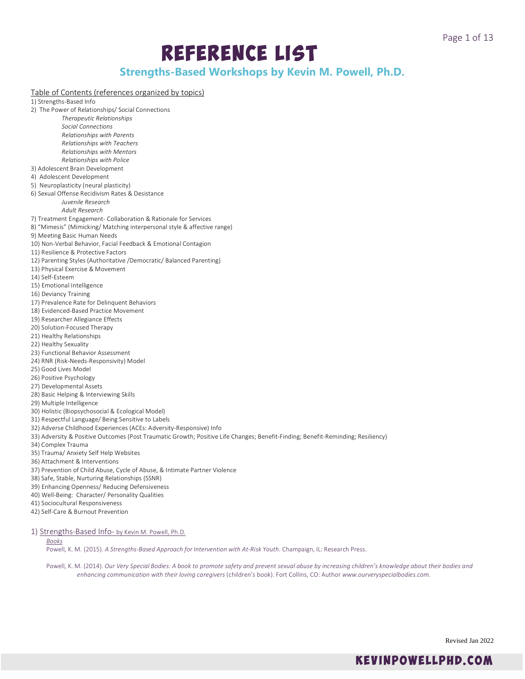# Reference List

# **Strengths-Based Workshops by Kevin M. Powell, Ph.D.**

# Table of Contents (references organized by topics)

1) Strengths-Based Info

- 2) The Power of Relationships/ Social Connections
	- *Therapeutic Relationships Social Connections Relationships with Parents Relationships with Teachers*
	- *Relationships with Mentors Relationships with Police*
- 3) Adolescent Brain Development
- 4) Adolescent Development
- 5) Neuroplasticity (neural plasticity)
- 6) Sexual Offense Recidivism Rates & Desistance *Juvenile Research*
	- *Adult Research*
- 7) Treatment Engagement- Collaboration & Rationale for Services
- 8) "Mimesis" (Mimicking/ Matching interpersonal style & affective range)
- 9) Meeting Basic Human Needs
- 10) Non-Verbal Behavior, Facial Feedback & Emotional Contagion
- 11) Resilience & Protective Factors
- 12) Parenting Styles (Authoritative /Democratic/ Balanced Parenting)
- 13) Physical Exercise & Movement
- 14) Self-Esteem
- 15) Emotional Intelligence
- 16) Deviancy Training
- 17) Prevalence Rate for Delinquent Behaviors
- 18) Evidenced-Based Practice Movement
- 19) Researcher Allegiance Effects
- 20) Solution-Focused Therapy
- 21) Healthy Relationships
- 22) Healthy Sexuality
- 23) Functional Behavior Assessment
- 24) RNR (Risk-Needs-Responsivity) Model
- 25) Good Lives Model
- 26) Positive Psychology
- 27) Developmental Assets
- 28) Basic Helping & Interviewing Skills
- 29) Multiple Intelligence
- 30) Holistic (Biopsychosocial & Ecological Model)
- 31) Respectful Language/ Being Sensitive to Labels
- 32) Adverse Childhood Experiences (ACEs: Adversity-Responsive) Info
- 33) Adversity & Positive Outcomes (Post Traumatic Growth; Positive Life Changes; Benefit-Finding; Benefit-Reminding; Resiliency)
- 34) Complex Trauma
- 35) Trauma/ Anxiety Self Help Websites
- 36) Attachment & Interventions
- 37) Prevention of Child Abuse, Cycle of Abuse, & Intimate Partner Violence
- 38) Safe, Stable, Nurturing Relationships (SSNR)
- 39) Enhancing Openness/ Reducing Defensiveness
- 40) Well-Being: Character/ Personality Qualities
- 41) Sociocultural Responsiveness
- 42) Self-Care & Burnout Prevention
- 1) Strengths-Based Info- by Kevin M. Powell, Ph.D.

# *Books*

Powell, K. M. (2015). *A Strengths-Based Approach for Intervention with At-Risk Youth.* Champaign, IL: Research Press.

Powell, K. M. (2014). *Our Very Special Bodies: A book to promote safety and prevent sexual abuse by increasing children's knowledge about their bodies and enhancing communication with their loving caregivers* (children's book). Fort Collins, CO: Author *www.ourveryspecialbodies.com.*

Revised Jan 2022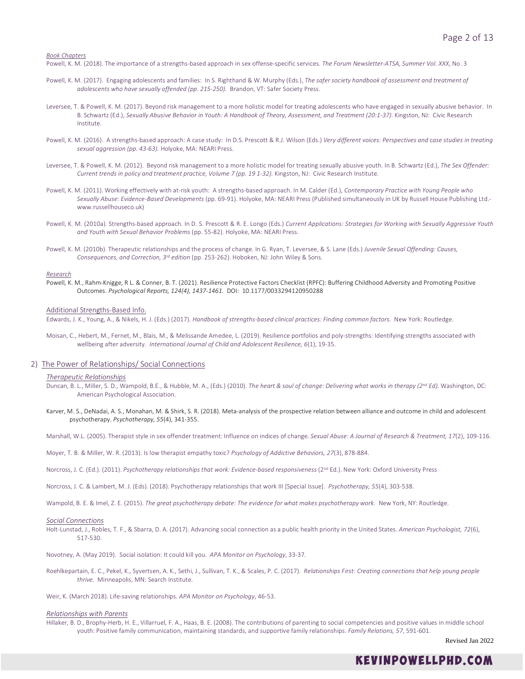*Book Chapters*

Powell, K. M. (2018). The importance of a strengths-based approach in sex offense-specific services. *The Forum Newsletter-ATSA, Summer Vol. XXX*, No. 3

- Powell, K. M. (2017). Engaging adolescents and families: In S. Righthand & W. Murphy (Eds.), *The safer society handbook of assessment and treatment of adolescents who have sexually offended (pp. 215-250).* Brandon, VT: Safer Society Press.
- Leversee, T. & Powell, K. M. (2017). Beyond risk management to a more holistic model for treating adolescents who have engaged in sexually abusive behavior. In B. Schwartz (Ed.), *Sexually Abusive Behavior in Youth: A Handbook of Theory, Assessment, and Treatment (20:1-37).* Kingston, NJ: Civic Research Institute.
- Powell, K. M. (2016). A strengths-based approach: A case study: In D.S. Prescott & R.J. Wilson (Eds.) Very different voices: Perspectives and case studies in treating *sexual aggression (pp. 43-63).* Holyoke, MA: NEARI Press.
- Leversee, T. & Powell, K. M. (2012). Beyond risk management to a more holistic model for treating sexually abusive youth. In B. Schwartz (Ed.), *The Sex Offender: Current trends in policy and treatment practice, Volume 7 (pp. 19 1-32).* Kingston, NJ: Civic Research Institute.
- Powell, K. M. (2011). Working effectively with at-risk youth: A strengths-based approach. In M. Calder (Ed.), *Contemporary Practice with Young People who Sexually Abuse: Evidence-Based Developments* (pp. 69-91). Holyoke, MA: NEARI Press (Published simultaneously in UK by Russell House Publishing Ltd. www.russellhouseco.uk)
- Powell, K. M. (2010a). Strengths-based approach. In D. S. Prescott & R. E. Longo (Eds.) *Current Applications: Strategies for Working with Sexually Aggressive Youth and Youth with Sexual Behavior Problems* (pp. 55-82). Holyoke, MA: NEARI Press.
- Powell, K. M. (2010b). Therapeutic relationships and the process of change. In G. Ryan, T. Leversee, & S. Lane (Eds.) *Juvenile Sexual Offending: Causes, Consequences, and Correction, 3rd edition* (pp. 253-262). Hoboken, NJ: John Wiley & Sons.

#### *Research*

Powell, K. M., Rahm-Knigge, R L. & Conner, B. T. (2021). Resilience Protective Factors Checklist (RPFC): Buffering Childhood Adversity and Promoting Positive Outcomes. *Psychological Reports, 124(4), 1437-1461.* [DOI: 10.1177/0033294120950288](https://doi.org/10.1177%2F0033294120950288)

#### Additional Strengths-Based Info.

Edwards, J. K., Young, A., & Nikels, H. J. (Eds.) (2017). *Handbook of strengths-based clinical practices: Finding common factors.* New York: Routledge.

Moisan, C., Hebert, M., Fernet, M., Blais, M., & Melissande Amedee, L. (2019). Resilience portfolios and poly-strengths: Identifying strengths associated with wellbeing after adversity. *International Journal of Child and Adolescent Resilience, 6*(1), 19-35.

### 2) The Power of Relationships/ Social Connections

### *Therapeutic Relationships*

- Duncan, B. L., Miller, S. D., Wampold, B.E., & Hubble, M. A., (Eds.) (2010). *The heart & soul of change: Delivering what works in therapy (2nd Ed).* Washington, DC: American Psychological Association.
- Karver, M. S., DeNadai, A. S., Monahan, M. & Shirk, S. R. (2018). Meta-analysis of the prospective relation between alliance and outcome in child and adolescent psychotherapy. *Psychotherapy, 55*(4), 341-355.

Marshall, W.L. (2005). Therapist style in sex offender treatment: Influence on indices of change. *Sexual Abuse: A Journal of Research & Treatment, 17*(2), 109-116.

- Moyer, T. B. & Miller, W. R. (2013). Is low therapist empathy toxic? *Psychology of Addictive Behaviors, 27*(3), 878-884.
- Norcross, J. C. (Ed.). (2011). Psychotherapy relationships that work: Evidence-based responsiveness (2<sup>nd</sup> Ed.). New York: Oxford University Press
- Norcross, J. C. & Lambert, M. J. (Eds). (2018). Psychotherapy relationships that work III [Special Issue]. *Psychotherapy, 55*(4), 303-538.
- Wampold, B. E. & Imel, Z. E. (2015). The great psychotherapy debate: The evidence for what makes psychotherapy work. New York, NY: Routledge.

#### *Social Connections*

Holt-Lunstad, J., Robles, T. F., & Sbarra, D. A. (2017). Advancing social connection as a public health priority in the United States. *American Psychologist, 72*(6), 517-530.

Novotney, A. (May 2019). Social isolation: It could kill you. *APA Monitor on Psychology*, 33-37.

- Roehlkepartain, E. C., Pekel, K., Syvertsen, A. K., Sethi, J., Sullivan, T. K., & Scales, P. C. (2017). *Relationships First: Creating connections that help young people thrive.* Minneapolis, MN: Search Institute.
- Weir, K. (March 2018). Life-saving relationships. *APA Monitor on Psychology*, 46-53.

#### *Relationships with Parents*

Hillaker, B. D., Brophy-Herb, H. E., Villarruel, F. A., Haas, B. E. (2008). The contributions of parenting to social competencies and positive values in middle school youth: Positive family communication, maintaining standards, and supportive family relationships. *Family Relations, 57*, 591-601.

Revised Jan 2022

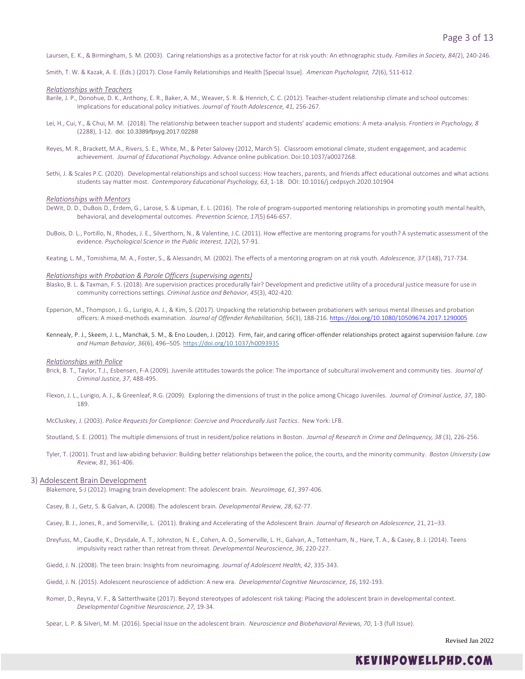Laursen, E. K., & Birmingham, S. M. (2003). Caring relationships as a protective factor for at risk youth: An ethnographic study*. Families in Society, 84(*2), 240-246.

Smith, T. W. & Kazak, A. E. (Eds.) (2017). Close Family Relationships and Health [Special Issue]. *American Psychologist, 72*(6), 511-612.

#### *Relationships with Teachers*

- Barile, J. P., Donohue, D. K., Anthony, E. R., Baker, A. M., Weaver, S. R. & Henrich, C. C. (2012). Teacher-student relationship climate and school outcomes: Implications for educational policy initiatives. *Journal of Youth Adolescence, 41,* 256-267.
- Lei, H., Cui, Y., & Chui, M. M. (2018). The relationship between teacher support and students' academic emotions: A meta-analysis. *Frontiers in Psychology, 8* (2288), 1-12. doi: 10.3389/fpsyg.2017.02288
- Reyes, M. R., Brackett, M.A., Rivers, S. E., White, M., & Peter Salovey (2012, March 5). Classroom emotional climate, student engagement, and academic achievement. *Journal of Educational Psychology*. Advance online publication. Doi:10.1037/a0027268.
- Sethi, J. & Scales P.C. (2020). Developmental relationships and school success: How teachers, parents, and friends affect educational outcomes and what actions students say matter most. *Contemporary Educational Psychology, 63*, 1-18. DOI: 10.1016/j.cedpsych.2020.101904

#### *Relationships with Mentors*

- DeWit, D. D., DuBois D., Erdem, G., Larose, S. & Lipman, E. L. (2016). The role of program-supported mentoring relationships in promoting youth mental health, behavioral, and developmental outcomes. *Prevention Science, 17*(5) 646-657.
- DuBois, D. L., Portillo, N., Rhodes, J. E., Silverthorn, N., & Valentine, J.C. (2011). How effective are mentoring programs for youth? A systematic assessment of the evidence. *Psychological Science in the Public Interest, 12*(2), 57-91.
- Keating, L. M., Tomishima, M. A., Foster, S., & Alessandri, M. (2002). The effects of a mentoring program on at risk youth. *Adolescence, 37* (148), 717-734.

#### *Relationships with Probation & Parole Officers (supervising agents)*

- Blasko, B. L. & Taxman, F. S. (2018). Are supervision practices procedurally fair? Development and predictive utility of a procedural justice measure for use in community corrections settings. *Criminal Justice and Behavior, 45*(3), 402-420.
- Epperson, M., Thompson, J. G., Lurigio, A. J., & Kim, S. (2017). Unpacking the relationship between probationers with serious mental illnesses and probation officers: A mixed-methods examination. *Journal of Offender Rehabilitation, 56*(3), 188-216. <https://doi.org/10.1080/10509674.2017.1290005>
- Kennealy, P. J., Skeem, J. L., Manchak, S. M., & Eno Louden, J. (2012). Firm, fair, and caring officer-offender relationships protect against supervision failure. *Law and Human Behavior, 36*(6), 496–505. [https://doi.org/10.1037/h0093935](https://psycnet.apa.org/doi/10.1037/h0093935)

#### *Relationships with Police*

- Brick, B. T., Taylor, T.J., Esbensen, F-A (2009). Juvenile attitudes towards the police: The importance of subcultural involvement and community ties. *Journal of Criminal Justice, 37*, 488-495.
- Flexon, J. L., Lurigio, A. J., & Greenleaf, R.G. (2009). Exploring the dimensions of trust in the police among Chicago Juveniles. *Journal of Criminal Justice, 37*, 180- 189.

McCluskey, J. (2003). *Police Requests for Compliance: Coercive and Procedurally Just Tactics*. New York: LFB.

Stoutland, S. E. (2001). The multiple dimensions of trust in resident/police relations in Boston. *Journal of Research in Crime and Delinquency, 38* (3), 226-256.

Tyler, T. (2001). Trust and law-abiding behavior: Building better relationships between the police, the courts, and the minority community. *Boston University Law Review, 81*, 361-406.

# 3) Adolescent Brain Development

Blakemore, S-J (2012). Imaging brain development: The adolescent brain. *NeuroImage, 61*, 397-406.

- Casey, B. J., Getz, S. & Galvan, A. (2008). The adolescent brain*. Developmental Review, 28*, 62-77.
- Casey, B. J., Jones, R., and Somerville, L. (2011). Braking and Accelerating of the Adolescent Brain. *Journal of Research on Adolescence,* 21, 21–33.
- Dreyfuss, M., Caudle, K., Drysdale, A. T., Johnston, N. E., Cohen, A. O., Somerville, L. H., Galvan, A., Tottenham, N., Hare, T. A., & Casey, B. J. (2014). Teens impulsivity react rather than retreat from threat. *Developmental Neuroscience, 36*, 220-227.
- Giedd, J. N. (2008). The teen brain: Insights from neuroimaging. *Journal of Adolescent Health, 42*, 335-343.
- Giedd, J. N. (2015). Adolescent neuroscience of addiction: A new era. *Developmental Cognitive Neuroscience, 16*, 192-193.
- Romer, D., Reyna, V. F., & Satterthwaite (2017). Beyond stereotypes of adolescent risk taking: Placing the adolescent brain in developmental context. *Developmental Cognitive Neuroscience, 27,* 19-34.
- Spear, L. P. & Silveri, M. M. (2016). Special Issue on the adolescent brain. *Neuroscience and Biobehavioral Reviews, 70*, 1-3 (full Issue).

Revised Jan 2022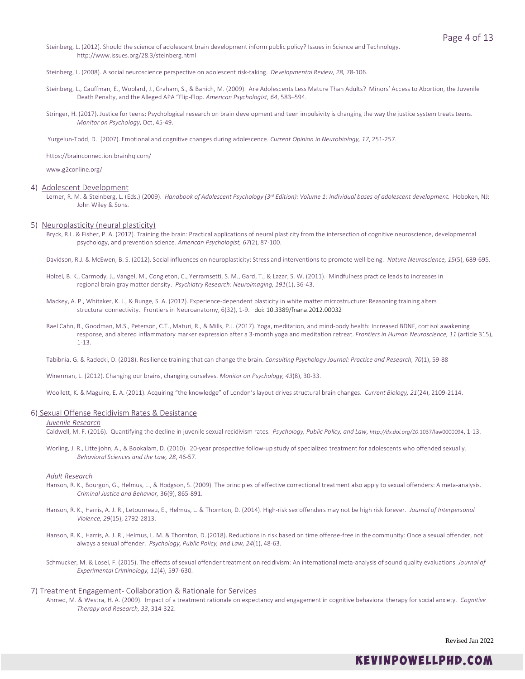Steinberg, L. (2012). Should the science of adolescent brain development inform public policy? Issues in Science and Technology. http://www.issues.org/28.3/steinberg.html

Steinberg, L. (2008). A social neuroscience perspective on adolescent risk-taking. *Developmental Review, 28,* 78-106.

- Steinberg, L., Cauffman, E., Woolard, J., Graham, S., & Banich, M. (2009). Are Adolescents Less Mature Than Adults? Minors' Access to Abortion, the Juvenile Death Penalty, and the Alleged APA "Flip-Flop. *American Psychologist, 64*, 583–594.
- Stringer, H. (2017). Justice for teens: Psychological research on brain development and teen impulsivity is changing the way the justice system treats teens. *Monitor on Psychology*, Oct, 45-49.

Yurgelun-Todd, D. (2007). Emotional and cognitive changes during adolescence. *Current Opinion in Neurobiology, 17*, 251-257.

https://brainconnection.brainhq.com/

www.g2conline.org/

# 4) Adolescent Development

Lerner, R. M. & Steinberg, L. (Eds.) (2009). *Handbook of Adolescent Psychology (3rd Edition): Volume 1: Individual bases of adolescent development.* Hoboken, NJ: John Wiley & Sons.

# 5) Neuroplasticity (neural plasticity)

Bryck, R.L. & Fisher, P. A. (2012). Training the brain: Practical applications of neural plasticity from the intersection of cognitive neuroscience, developmental psychology, and prevention science. *American Psychologist, 67*(2), 87-100.

Davidson, R.J. & McEwen, B. S. (2012). Social influences on neuroplasticity: Stress and interventions to promote well-being. *Nature Neuroscience, 15*(5), 689-695.

- Holzel, B. K., Carmody, J., Vangel, M., Congleton, C., Yerramsetti, S. M., Gard, T., & Lazar, S. W. (2011). Mindfulness practice leads to increases in regional brain gray matter density. *Psychiatry Research: Neuroimaging, 191*(1), 36-43.
- Mackey, A. P., Whitaker, K. J., & Bunge, S. A. (2012). Experience-dependent plasticity in white matter microstructure: Reasoning training alters structural connectivity. Frontiers in Neuroanatomy, 6(32), 1-9. doi: 10.3389/fnana.2012.00032
- Rael Cahn, B., Goodman, M.S., Peterson, C.T., Maturi, R., & Mills, P.J. (2017). Yoga, meditation, and mind-body health: Increased BDNF, cortisol awakening response, and altered inflammatory marker expression after a 3-month yoga and meditation retreat. *Frontiers in Human Neuroscience, 11* (article 315), 1-13.

Tabibnia, G. & Radecki, D. (2018). Resilience training that can change the brain. *Consulting Psychology Journal: Practice and Research, 70*(1), 59-88

Winerman, L. (2012). Changing our brains, changing ourselves. *Monitor on Psychology, 43*(8), 30-33.

Woollett, K. & Maguire, E. A. (2011). Acquiring "the knowledge" of London's layout drives structural brain changes. *Current Biology, 21*(24), 2109-2114.

#### 6) Sexual Offense Recidivism Rates & Desistance

# *Juvenile Research*

Caldwell, M. F. (2016). Quantifying the decline in juvenile sexual recidivism rates. *Psychology, Public Policy, and Law, http://dx.doi.org/10*.1037/law0000094, 1-13.

Worling, J. R., Litteljohn, A., & Bookalam, D. (2010). 20-year prospective follow-up study of specialized treatment for adolescents who offended sexually. *Behavioral Sciences and the Law, 28*, 46-57.

# *Adult Research*

- Hanson, R. K., Bourgon, G., Helmus, L., & Hodgson, S. (2009). The principles of effective correctional treatment also apply to sexual offenders: A meta-analysis. *Criminal Justice and Behavior,* 36(9), 865-891.
- Hanson, R. K., Harris, A. J. R., Letourneau, E., Helmus, L. & Thornton, D. (2014). High-risk sex offenders may not be high risk forever. *Journal of Interpersonal Violence, 29*(15), 2792-2813.
- Hanson, R. K., Harris, A. J. R., Helmus, L. M. & Thornton, D. (2018). Reductions in risk based on time offense-free in the community: Once a sexual offender, not always a sexual offender. *Psychology, Public Policy, and Law, 24*(1), 48-63.
- Schmucker, M. & Losel, F. (2015). The effects of sexual offender treatment on recidivism: An international meta-analysis of sound quality evaluations. *Journal of Experimental Criminology, 11*(4), 597-630.

#### 7) Treatment Engagement- Collaboration & Rationale for Services

Ahmed, M. & Westra, H. A. (2009). Impact of a treatment rationale on expectancy and engagement in cognitive behavioral therapy for social anxiety. *Cognitive Therapy and Research, 33*, 314-322.

Revised Jan 2022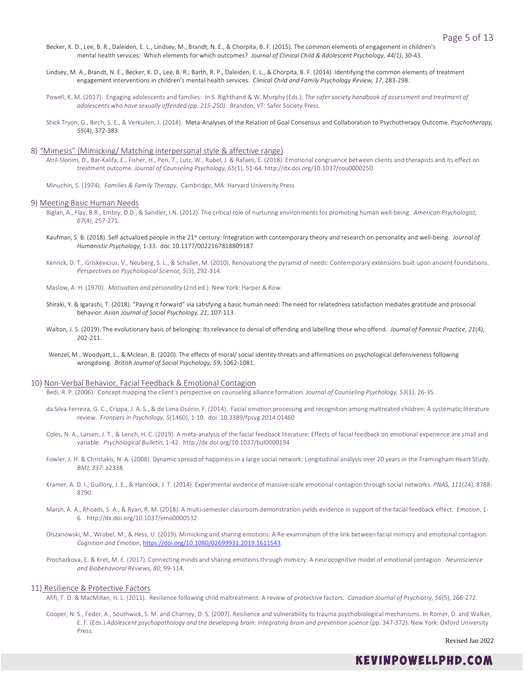- Becker, K. D., Lee, B. R., Daleiden, E. L., Lindsey, M., Brandt, N. E., & Chorpita, B. F. (2015). The common elements of engagement in children's mental health services: Which elements for which outcomes? *Journal of Clinical Child & Adolescent Psychology, 44(1)*, 30-43.
- Lindsey, M. A., Brandt, N. E., Becker, K. D., Lee, B. R., Barth, R. P., Daleiden, E. L., & Chorpita, B. F. (2014). Identifying the common elements of treatment engagement interventions in children's mental health services. *Clinical Child and Family Psychology Review, 17*, 283-298.
- Powell, K. M. (2017). Engaging adolescents and families: In S. Righthand & W. Murphy (Eds.), *The safer society handbook of assessment and treatment of adolescents who have sexually offended (pp. 215-250).* Brandon, VT: Safer Society Press.
- Shick Tryon, G., Birch, S. E., & Verkuilen, J. (2018). Meta-Analyses of the Relation of Goal Consensus and Collaboration to Psychotherapy Outcome. *Psychotherapy, 55*(4), 372-383.

#### 8) "Mimesis" (Mimicking/ Matching interpersonal style & affective range)

- Atril-Slonim, D., Bar-Kalifa, E., Fisher, H., Peri, T., Lutz, W., Rubel, J. & Rafaeli, E. (2018). Emotional congruence between clients and therapists and its effect on treatment outcome. *Journal of Counseling Psychology, 65*(1), 51-64. http://dx.doi.org/10.1037/cou0000250.
- Minuchin, S. (1974). *Families & Family Therapy*. Cambridge, MA: Harvard University Press

#### 9) Meeting Basic Human Needs

- Biglan, A., Flay, B.R., Embry, D.D., & Sandler, I.N. (2012). The critical role of nurturing environments for promoting human well-being. *American Psychologist, 67*(4), 257-271.
- Kaufman, S. B. (2018). Self actualized people in the 21<sup>st</sup> century: Integration with contemporary theory and research on personality and well-being. *Journal of Humanistic Psychology*, 1-33. doi: 10.1177/0022167818809187
- Kenrick, D. T., Griskevicius, V., Neuberg, S. L., & Schaller, M. (2010). Renovationg the pyramid of needs: Contemporary extensions built upon ancient foundations. *Perspectives on Psychological Science, 5*(3), 292-314.

Maslow, A. H. (1970). *Motivation and personality* (2nd ed.). New York: Harper & Row.

- Shiraki, Y. & Igarashi, T. (2018). "Paying it forward" via satisfying a basic human need: The need for relatedness satisfaction mediates gratitude and prosocial behavior. *Asian Journal of Social Psychology, 21*, 107-113.
- Walton, J. S. (2019). The evolutionary basis of belonging: Its relevance to denial of offending and labelling those who offend. *Journal of Forensic Practice, 21*(4), 202-211.
- Wenzel, M., Woodyatt, L., & Mclean, B. (2020). The effects of moral/ social identity threats and affirmations on psychological defensiveness following wrongdoing. *British Journal of Social Psychology, 59*, 1062-1081.

#### 10) Non-Verbal Behavior, Facial Feedback & Emotional Contagion

- Bedi, R. P. (2006). Concept mapping the client's perspective on counseling alliance formation. *Journal of Counseling Psychology, 53*(1), 26-35.
- da Silva Ferreira, G. C., Crippa, J. A. S., & de Lima Osório, F. (2014). Facial emotion processing and recognition among maltreated children: A systematic literature review. *Frontiers in Psychology, 5*(1460), 1-10. doi: 10.3389/fpsyg.2014.01460
- Coles, N. A., Larsen, J. T., & Lench, H. C. (2019). A meta-analysis of the facial feedback literature: Effects of facial feedback on emotional experience are small and variable. *Psychological Bulletin*, 1-42. http://dx.doi.org/10.1037/bul0000194
- Fowler, J. H. & Christakis, N. A. (2008). Dynamic spread of happiness in a large social network: Longitudinal analysis over 20 years in the Framingham Heart Study. *BMJ, 337*: a2338.
- Kramer, A. D. I., Guillory, J. E., & Hancock, J. T. (2014). Experimental evidence of massive-scale emotional contagion through social networks. *PNAS, 111*(24), 8788- 8790.
- Marsh, A. A., Rhoads, S. A., & Ryan, R. M. (2018). A multi-semester classroom demonstration yields evidence in support of the facial feedback effect. *Emotion*, 1- 6. http://dx.doi.org/10.1037/emo0000532
- Olszanowski, M., Wrobel, M., & Hess, U. (2019). Mimicking and sharing emotions: A Re-examination of the link between facial mimicry and emotional contagion. *Cognition and Emotion*, [https://doi.org/10.1080/02699931.2019.1611543.](https://doi.org/10.1080/02699931.2019.1611543)
- Prochazkova, E. & Kret, M. E. (2017). Connecting minds and sharing emotions through mimicry: A neurocognitive model of emotional contagion. *Neuroscience and Biobehavioral Reviews, 80*, 99-114.

### 11) Resilience & Protective Factors

- Afifi, T. O. & MacMillan, H. L. (2011). Resilience following child maltreatment: A review of protective factors. *Canadian Journal of Psychiatry, 56*(5), 266-272.
- Cooper, N. S., Feder, A., Southwick, S. M. and Charney, D. S. (2007). Resilience and vulnerability to trauma psychobiological mechanisms. In Romer, D. and Walker, E. F. (Eds.) *Adolescent psychopathology and the developing brain: Integrating brain and prevention science* (pp. 347-372). New York: Oxford University Press.

Revised Jan 2022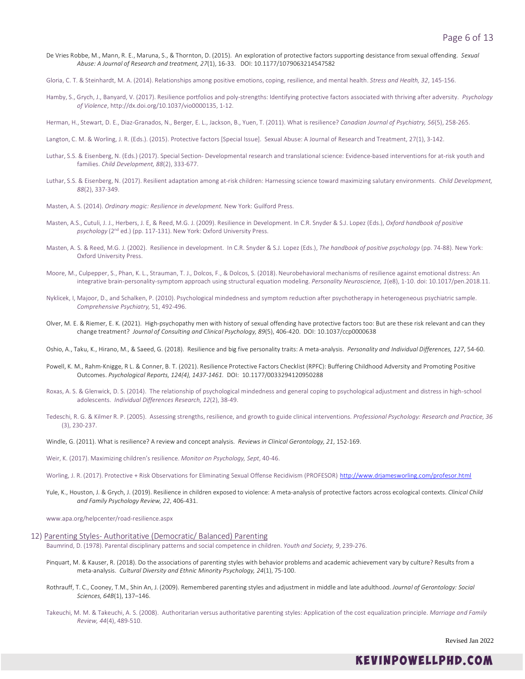- De Vries Robbe, M., Mann, R. E., Maruna, S., & Thornton, D. (2015). An exploration of protective factors supporting desistance from sexual offending. *Sexual Abuse: A Journal of Research and treatment, 27*(1), 16-33. DOI: 10.1177/1079063214547582
- Gloria, C. T. & Steinhardt, M. A. (2014). Relationships among positive emotions, coping, resilience, and mental health. *Stress and Health, 32*, 145-156.
- Hamby, S., Grych, J., Banyard, V. (2017). Resilience portfolios and poly-strengths: Identifying protective factors associated with thriving after adversity. *Psychology of Violence*, http://dx.doi.org/10.1037/vio0000135, 1-12.
- Herman, H., Stewart, D. E., Diaz-Granados, N., Berger, E. L., Jackson, B., Yuen, T. (2011). What is resilience? *Canadian Journal of Psychiatry, 56*(5), 258-265.
- Langton, C. M. & Worling, J. R. (Eds.). (2015). Protective factors [Special Issue]. Sexual Abuse: A Journal of Research and Treatment, 27(1), 3-142.
- Luthar, S.S. & Eisenberg, N. (Eds.) (2017). Special Section- Developmental research and translational science: Evidence-based interventions for at-risk youth and families. *Child Development, 88*(2), 333-677.
- Luthar, S.S. & Eisenberg, N. (2017). Resilient adaptation among at-risk children: Harnessing science toward maximizing salutary environments. *Child Development, 88*(2), 337-349.
- Masten, A. S. (2014). *Ordinary magic: Resilience in development.* New York: Guilford Press.
- Masten, A.S., Cutuli, J. J., Herbers, J. E, & Reed, M.G. J. (2009). Resilience in Development. In C.R. Snyder & S.J. Lopez (Eds.), *Oxford handbook of positive psychology* (2nd ed.) (pp. 117-131). New York: Oxford University Press.
- Masten, A. S. & Reed, M.G. J. (2002). Resilience in development. In C.R. Snyder & S.J. Lopez (Eds.), *The handbook of positive psychology* (pp. 74-88). New York: Oxford University Press.
- Moore, M., Culpepper, S., Phan, K. L., Strauman, T. J., Dolcos, F., & Dolcos, S. (2018). Neurobehavioral mechanisms of resilience against emotional distress: An integrative brain-personality-symptom approach using structural equation modeling. *Personality Neuroscience, 1*(e8), 1-10. doi: 10.1017/pen.2018.11.
- Nyklicek, I, Majoor, D., and Schalken, P. (2010). Psychological mindedness and symptom reduction after psychotherapy in heterogeneous psychiatric sample. *Comprehensive Psychiatry,* 51, 492-496.
- Olver, M. E. & Riemer, E. K. (2021). High-psychopathy men with history of sexual offending have protective factors too: But are these risk relevant and can they change treatment? *Journal of Consulting and Clinical Psychology, 89*(5), 406-420. DOI: 10.1037/ccp0000638
- Oshio, A., Taku, K., Hirano, M., & Saeed, G. (2018). Resilience and big five personality traits: A meta-analysis. *Personality and Individual Differences, 127*, 54-60.
- Powell, K. M., Rahm-Knigge, R L. & Conner, B. T. (2021). Resilience Protective Factors Checklist (RPFC): Buffering Childhood Adversity and Promoting Positive Outcomes. *Psychological Reports, 124(4), 1437-1461.* [DOI: 10.1177/0033294120950288](https://doi.org/10.1177%2F0033294120950288)
- Roxas, A. S. & Glenwick, D. S. (2014). The relationship of psychological mindedness and general coping to psychological adjustment and distress in high-school adolescents. *Individual Differences Research, 12*(2), 38-49.
- Tedeschi, R. G. & Kilmer R. P. (2005). Assessing strengths, resilience, and growth to guide clinical interventions. *Professional Psychology: Research and Practice, 36* (3), 230-237.
- Windle, G. (2011). What is resilience? A review and concept analysis. *Reviews in Clinical Gerontology, 21*, 152-169.
- Weir, K. (2017). Maximizing children's resilience. *Monitor on Psychology, Sept*, 40-46.
- Worling, J. R. (2017). Protective + Risk Observations for Eliminating Sexual Offense Recidivism (PROFESOR) <http://www.drjamesworling.com/profesor.html>
- Yule, K., Houston, J. & Grych, J. (2019). Resilience in children exposed to violence: A meta-analysis of protective factors across ecological contexts. *Clinical Child and Family Psychology Review, 22*, 406-431.

www.apa.org/helpcenter/road-resilience.aspx

- 12) Parenting Styles- Authoritative (Democratic/ Balanced) Parenting Baumrind, D. (1978). Parental disciplinary patterns and social competence in children. *Youth and Society, 9*, 239-276.
	- Pinquart, M. & Kauser, R. (2018). Do the associations of parenting styles with behavior problems and academic achievement vary by culture? Results from a meta-analysis. *Cultural Diversity and Ethnic Minority Psychology, 24*(1), 75-100.
	- Rothrauff, T. C., Cooney, T.M., Shin An, J. (2009). Remembered parenting styles and adjustment in middle and late adulthood. *Journal of Gerontology: Social Sciences, 64B*(1), 137–146.
	- Takeuchi, M. M. & Takeuchi, A. S. (2008). Authoritarian versus authoritative parenting styles: Application of the cost equalization principle. *Marriage and Family Review, 44*(4), 489-510.

Revised Jan 2022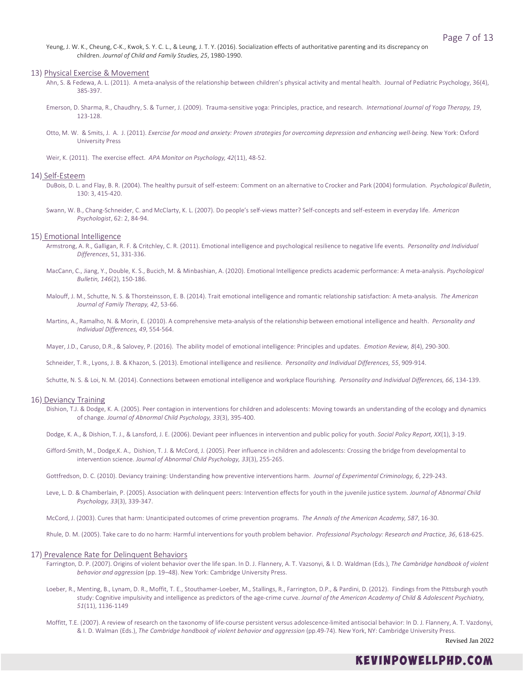Yeung, J. W. K., Cheung, C-K., Kwok, S. Y. C. L., & Leung, J. T. Y. (2016). Socialization effects of authoritative parenting and its discrepancy on children. *Journal of Child and Family Studies, 25*, 1980-1990.

#### 13) Physical Exercise & Movement

- Ahn, S. & Fedewa, A. L. (2011). A meta-analysis of the relationship between children's physical activity and mental health. Journal of Pediatric Psychology, 36(4), 385-397.
- Emerson, D. Sharma, R., Chaudhry, S. & Turner, J. (2009). Trauma-sensitive yoga: Principles, practice, and research. *International Journal of Yoga Therapy, 19*, 123-128.
- Otto, M. W. & Smits, J. A. J. (2011). *Exercise for mood and anxiety: Proven strategies for overcoming depression and enhancing well-being.* New York: Oxford University Press

Weir, K. (2011). The exercise effect. *APA Monitor on Psychology, 42*(11), 48-52.

#### 14) Self-Esteem

- DuBois, D. L. and Flay, B. R. (2004). The healthy pursuit of self-esteem: Comment on an alternative to Crocker and Park (2004) formulation. *Psychological Bulletin*, 130: 3, 415-420.
- Swann, W. B., Chang-Schneider, C. and McClarty, K. L. (2007). Do people's self-views matter? Self-concepts and self-esteem in everyday life. *American Psychologist*, 62: 2, 84-94.

# 15) Emotional Intelligence

- Armstrong, A. R., Galligan, R. F. & Critchley, C. R. (2011). Emotional intelligence and psychological resilience to negative life events. *Personality and Individual Differences*, 51, 331-336.
- MacCann, C., Jiang, Y., Double, K. S., Bucich, M. & Minbashian, A. (2020). Emotional Intelligence predicts academic performance: A meta-analysis. *Psychological Bulletin, 146*(2), 150-186.
- Malouff, J. M., Schutte, N. S. & Thorsteinsson, E. B. (2014). Trait emotional intelligence and romantic relationship satisfaction: A meta-analysis. *The American Journal of Family Therapy, 42*, 53-66.
- Martins, A., Ramalho, N. & Morin, E. (2010). A comprehensive meta-analysis of the relationship between emotional intelligence and health. *Personality and Individual Differences, 49*, 554-564.

Mayer, J.D., Caruso, D.R., & Salovey, P. (2016). The ability model of emotional intelligence: Principles and updates. *Emotion Review, 8*(4), 290-300.

Schneider, T. R., Lyons, J. B. & Khazon, S. (2013). Emotional intelligence and resilience. *Personality and Individual Differences, 55*, 909-914.

Schutte, N. S. & Loi, N. M. (2014). Connections between emotional intelligence and workplace flourishing. *Personality and Individual Differences, 66*, 134-139.

#### 16) Deviancy Training

Dishion, T.J. & Dodge, K. A. (2005). Peer contagion in interventions for children and adolescents: Moving towards an understanding of the ecology and dynamics of change. *Journal of Abnormal Child Psychology, 33*(3), 395-400.

Dodge, K. A., & Dishion, T. J., & Lansford, J. E. (2006). Deviant peer influences in intervention and public policy for youth. *Social Policy Report, XX*(1), 3-19.

- Gifford-Smith, M., Dodge,K. A., Dishion, T. J. & McCord, J. (2005). Peer influence in children and adolescents: Crossing the bridge from developmental to intervention science. *Journal of Abnormal Child Psychology, 33*(3), 255-265.
- Gottfredson, D. C. (2010). Deviancy training: Understanding how preventive interventions harm. *Journal of Experimental Criminology, 6*, 229-243.
- Leve, L. D. & Chamberlain, P. (2005). Association with delinquent peers: Intervention effects for youth in the juvenile justice system. *Journal of Abnormal Child Psychology, 33*(3), 339-347.

McCord, J. (2003). Cures that harm: Unanticipated outcomes of crime prevention programs. *The Annals of the American Academy, 587*, 16-30.

Rhule, D. M. (2005). Take care to do no harm: Harmful interventions for youth problem behavior. *Professional Psychology: Research and Practice, 36*, 618-625.

### 17) Prevalence Rate for Delinquent Behaviors

- Farrington, D. P. (2007). Origins of violent behavior over the life span. In D. J. Flannery, A. T. Vazsonyi, & I. D. Waldman (Eds.), *The Cambridge handbook of violent behavior and aggression* (pp. 19–48). New York: Cambridge University Press.
- Loeber, R., Menting, B., Lynam, D. R., Moffit, T. E., Stouthamer-Loeber, M., Stallings, R., Farrington, D.P., & Pardini, D. (2012). Findings from the Pittsburgh youth study: Cognitive impulsivity and intelligence as predictors of the age-crime curve. *Journal of the American Academy of Child & Adolescent Psychiatry, 51*(11), 1136-1149
- Moffitt, T.E. (2007). A review of research on the taxonomy of life-course persistent versus adolescence-limited antisocial behavior: In D. J. Flannery, A. T. Vazdonyi, & I. D. Walman (Eds.), *The Cambridge handbook of violent behavior and aggression* (pp.49-74). New York, NY: Cambridge University Press.

Revised Jan 2022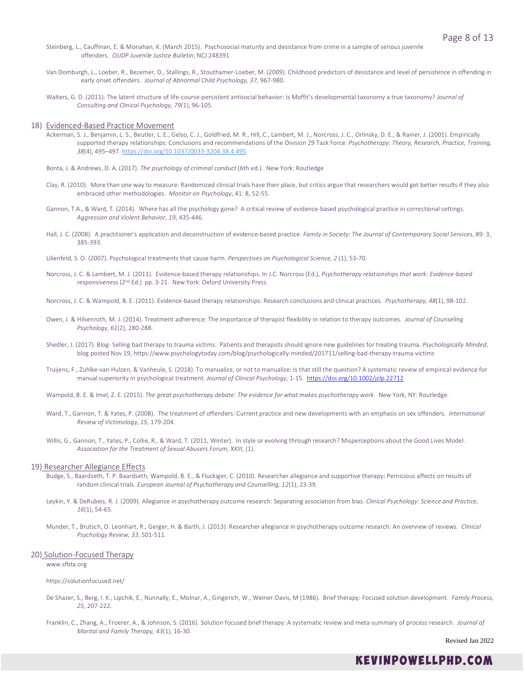- Steinberg, L., Cauffman, E. & Monahan, K. (March 2015). Psychosocial maturity and desistance from crime in a sample of serious juvenile offenders. *OJJDP Juvenile Justice Bulletin*, NCJ 248391
- Van Domburgh, L., Loeber, R., Bezemer, D., Stallings, R., Stouthamer-Loeber, M. (2009). Childhood predictors of desistance and level of persistence in offending in early onset offenders. *Journal of Abnormal Child Psychology, 37*, 967-980.
- Walters, G. D. (2011). The latent structure of life-course-persistent antisocial behavior: Is Moffit's developmental taxonomy a true taxonomy? *Journal of Consulting and Clinical Psychology, 79(*1), 96-105.
- 18) Evidenced-Based Practice Movement
	- Ackerman, S. J., Benjamin, L. S., Beutler, L. E., Gelso, C. J., Goldfried, M. R., Hill, C., Lambert, M. J., Norcross, J. C., Orlinsky, D. E., & Rainer, J. (2001). Empirically supported therapy relationships: Conclusions and recommendations of the Division 29 Task Force. *Psychotherapy: Theory, Research, Practice, Training, 38*(4), 495–497. [https://doi.org/10.1037/0033-3204.38.4.495](https://psycnet.apa.org/doi/10.1037/0033-3204.38.4.495)
	- Bonta, J. & Andrews, D. A. (2017). *The psychology of criminal conduct* (6th ed.). New York: Routledge
	- Clay, R. (2010). More than one way to measure: Randomized clinical trials have their place, but critics argue that researchers would get better results if they also embraced other methodologies. *Monitor on Psychology*, 41: 8, 52-55.
	- Gannon, T.A., & Ward, T. (2014). Where has all the psychology gone? A critical review of evidence-based psychological practice in correctional settings. *Aggression and Violent Behavior, 19*, 435-446.
	- Hall, J. C. (2008). A practitioner's application and deconstruction of evidence-based practice. *Family in Society: The Journal of Contemporary Social Services*, 89: 3, 385-393.
	- Lilienfeld, S. O. (2007). Psychological treatments that cause harm. *Perspectives on Psychological Science, 2* (1), 53-70.
	- Norcross, J. C. & Lambert, M. J. (2011). Evidence-based therapy relationships. In J.C. Norcross (Ed.), *Psychotherapy relationships that work: Evidence-based responsiveness* (2nd Ed.) pp. 3-21. New York: Oxford University Press.
	- Norcross, J. C. & Wampold, B. E. (2011). Evidence-based therapy relationships: Research conclusions and clinical practices. *Psychotherapy, 48*(1), 98-102.
	- Owen, J. & Hilsenroth, M. J. (2014). Treatment adherence: The importance of therapist flexibility in relation to therapy outcomes. *Journal of Counseling Psychology, 61*(2), 280-288.
	- Shedler, J. (2017). Blog- Selling bad therapy to trauma victims: Patients and therapists should ignore new guidelines for treating trauma. *Psychologically Minded*, blog posted Nov 19, https://www.psychologytoday.com/blog/psychologically-minded/201711/selling-bad-therapy-trauma-victims
	- Truijens, F., Zuhlke-van Hulzen, & Vanheule, S. (2018). To manualize, or not to manualize: Is that still the question? A systematic review of empirical evidence for manual superiority in psychological treatment. *Journal of Clinical Psychology*, 1-15. <https://doi.org/10.1002/jclp.22712>
	- Wampold, B. E. & Imel, Z. E. (2015). *The great psychotherapy debate: The evidence for what makes psychotherapy work.* New York, NY: Routledge.
	- Ward, T., Gannon, T. & Yates, P. (2008). The treatment of offenders: Current practice and new developments with an emphasis on sex offenders*. International Review of Victimology, 15,* 179-204.
	- Willis, G., Gannon, T., Yates, P., Collie, R., & Ward, T. (2011, Winter). In style or evolving through research? Misperceptions about the Good Lives Model. *Association for the Treatment of Sexual Abusers Forum, XXIII*, (1).

#### 19) Researcher Allegiance Effects

- Budge, S., Baardseth, T. P. Baardseth, Wampold, B. E., & Fluckiger, C. (2010). Researcher allegiance and supportive therapy: Pernicious affects on results of random clinical trials. *European Journal of Psychotherapy and Counselling, 12*(1), 23-39.
- Leykin, Y. & DeRubeis, R. J. (2009). Allegiance in psychotherapy outcome research: Separating association from bias. *Clinical Psychology: Science and Practice, 16*(1), 54-65.
- Munder, T., Brutsch, O. Leonhart, R., Gerger, H. & Barth, J. (2013). Researcher allegiance in psychotherapy outcome research: An overview of reviews. *Clinical Psychology Review, 33*, 501-511.

#### 20) Solution-Focused Therapy

www.sfbta.org

#### https://solutionfocused.net/

- De Shazer, S., Berg, I. K., Lipchik, E., Nunnally, E., Molnar, A., Gingerich, W., Weiner-Davis, M (1986). Brief therapy: Focused solution development. *Family Process, 25*, 207-222.
- Franklin, C., Zhang, A., Froerer, A., & Johnson, S. (2016). Solution focused brief therapy: A systematic review and meta-summary of process research. *Journal of Marital and Family Therapy, 43*(1), 16-30.

Revised Jan 2022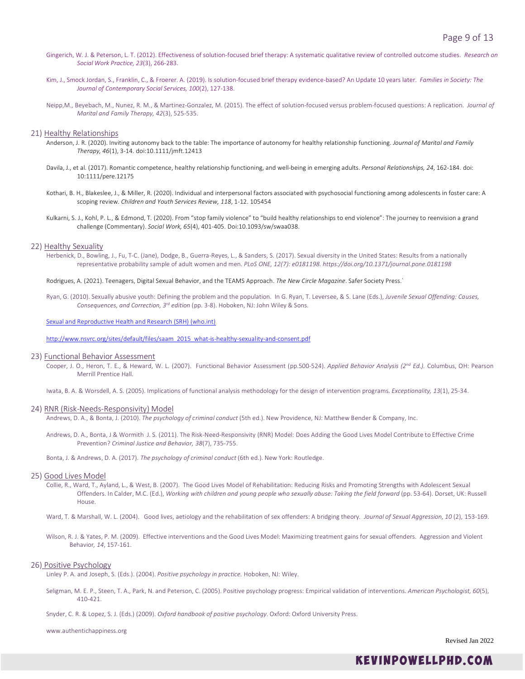- Gingerich, W. J. & Peterson, L. T. (2012). Effectiveness of solution-focused brief therapy: A systematic qualitative review of controlled outcome studies. *Research on Social Work Practice, 23*(3), 266-283.
- Kim, J., Smock Jordan, S., Franklin, C., & Froerer. A. (2019). Is solution-focused brief therapy evidence-based? An Update 10 years later. *Families in Society: The Journal of Contemporary Social Services, 100*(2), 127-138.
- Neipp,M., Beyebach, M., Nunez, R. M., & Martinez-Gonzalez, M. (2015). The effect of solution-focused versus problem-focused questions: A replication. *Journal of Marital and Family Therapy, 42*(3), 525-535.

### 21) Healthy Relationships

- Anderson, J. R. (2020). Inviting autonomy back to the table: The importance of autonomy for healthy relationship functioning. *Journal of Marital and Family Therapy, 46*(1), 3-14. doi:10.1111/jmft.12413
- Davila, J., et al. (2017). Romantic competence, healthy relationship functioning, and well-being in emerging adults. *Personal Relationships, 24*, 162-184. doi: 10:1111/pere.12175
- Kothari, B. H., Blakeslee, J., & Miller, R. (2020). Individual and interpersonal factors associated with psychosocial functioning among adolescents in foster care: A scoping review. *Children and Youth Services Review, 118*, 1-12. 105454
- Kulkarni, S. J., Kohl, P. L., & Edmond, T. (2020). From "stop family violence" to "build healthy relationships to end violence": The journey to reenvision a grand challenge (Commentary). *Social Work, 65*(4), 401-405. Doi:10.1093/sw/swaa038.

#### 22) Healthy Sexuality

Herbenick, D., Bowling, J., Fu, T-C. (Jane), Dodge, B., Guerra-Reyes, L., & Sanders, S. (2017). Sexual diversity in the United States: Results from a nationally representative probability sample of adult women and men. *PLoS ONE, 12(7): e0181198. https://doi.org/10.1371/journal.pone.0181198*

Rodrigues, A. (2021). Teenagers, Digital Sexual Behavior, and the TEAMS Approach. *The New Circle Magazine*. Safer Society Press.`

Ryan, G. (2010). Sexually abusive youth: Defining the problem and the population. In G. Ryan, T. Leversee, & S. Lane (Eds.), *Juvenile Sexual Offending: Causes, Consequences, and Correction, 3rd edition* (pp. 3-8). Hoboken, NJ: John Wiley & Sons.

#### [Sexual and Reproductive Health and Research \(SRH\) \(who.int\)](https://www.who.int/teams/sexual-and-reproductive-health-and-research/key-areas-of-work/sexual-health/defining-sexual-health)

[http://www.nsvrc.org/sites/default/files/saam\\_2015\\_what-is-healthy-sexuality-and-consent.pdf](http://www.nsvrc.org/sites/default/files/saam_2015_what-is-healthy-sexuality-and-consent.pdf)

#### 23) Functional Behavior Assessment

Cooper, J. O., Heron, T. E., & Heward, W. L. (2007). Functional Behavior Assessment (pp.500-524). *Applied Behavior Analysis (2nd Ed.).* Columbus, OH: Pearson Merrill Prentice Hall.

Iwata, B. A. & Worsdell, A. S. (2005). Implications of functional analysis methodology for the design of intervention programs. *Exceptionality, 13*(1), 25-34.

#### 24) RNR (Risk-Needs-Responsivity) Model

Andrews, D. A., & Bonta, J. (2010). *The psychology of criminal conduct* (5th ed.). New Providence, NJ: Matthew Bender & Company, Inc.

Andrews, D. A., Bonta, J & Wormith J. S. (2011). The Risk-Need-Responsivity (RNR) Model: Does Adding the Good Lives Model Contribute to Effective Crime Prevention? *Criminal Justice and Behavior, 38*(7), 735-755.

Bonta, J. & Andrews, D. A. (2017). *The psychology of criminal conduct* (6th ed.). New York: Routledge.

### 25) Good Lives Model

- Collie, R., Ward, T., Ayland, L., & West, B. (2007). The Good Lives Model of Rehabilitation: Reducing Risks and Promoting Strengths with Adolescent Sexual Offenders. In Calder, M.C. (Ed.), *Working with children and young people who sexually abuse: Taking the field forward* (pp. 53-64). Dorset, UK: Russell House.
- Ward, T. & Marshall, W. L. (2004). Good lives, aetiology and the rehabilitation of sex offenders: A bridging theory*. Journal of Sexual Aggression, 10* (2), 153-169.
- Wilson, R. J. & Yates, P. M. (2009). Effective interventions and the Good Lives Model: Maximizing treatment gains for sexual offenders. Aggression and Violent Behavior*, 14*, 157-161.

#### 26) Positive Psychology

Linley P. A. and Joseph, S. (Eds.). (2004). *Positive psychology in practice.* Hoboken, NJ: Wiley.

- Seligman, M. E. P., Steen, T. A., Park, N. and Peterson, C. (2005). Positive psychology progress: Empirical validation of interventions. *American Psychologist, 60*(5), 410-421.
- Snyder, C. R. & Lopez, S. J. (Eds.) (2009). *Oxford handbook of positive psychology*. Oxford: Oxford University Press.

www.authentichappiness.org

Revised Jan 2022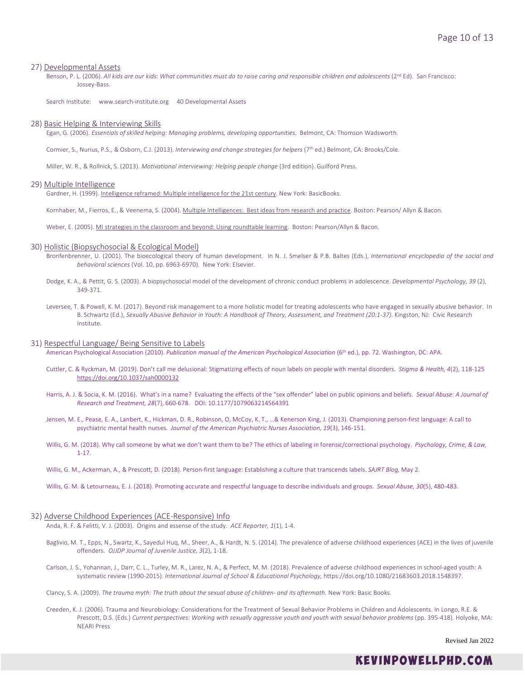# 27) Developmental Assets

Benson, P. L. (2006). All kids are our kids: What communities must do to raise caring and responsible children and adolescents (2<sup>nd</sup> Ed). San Francisco: Jossey-Bass.

Search Institute: www.search-institute.org 40 Developmental Assets

#### 28) Basic Helping & Interviewing Skills

Egan, G. (2006). *Essentials of skilled helping: Managing problems, developing opportunities.* Belmont, CA: Thomson Wadsworth.

Cormier, S., Nurius, P.S., & Osborn, C.J. (2013). *Interviewing and change strategies for helpers* (7th ed.) Belmont, CA: Brooks/Cole.

Miller, W. R., & Rollnick, S. (2013). *Motivational interviewing: Helping people change* (3rd edition). Guilford Press.

#### 29) Multiple Intelligence

Gardner, H. (1999). Intelligence reframed: Multiple intelligence for the 21st century. New York: BasicBooks.

Kornhaber, M., Fierros, E., & Veenema, S. (2004). Multiple Intelligences: Best ideas from research and practice. Boston: Pearson/ Allyn & Bacon.

Weber, E. (2005). MI strategies in the classroom and beyond: Using roundtable learning. Boston: Pearson/Allyn & Bacon.

#### 30) Holistic (Biopsychosocial & Ecological Model)

- Bronfenbrenner, U. (2001). The bioecological theory of human development. In N. J. Smelser & P.B. Baltes (Eds.), *International encyclopedia of the social and behavioral sciences* (Vol. 10, pp. 6963-6970). New York: Elsevier.
- Dodge, K. A., & Pettit, G. S. (2003). A biopsychosocial model of the development of chronic conduct problems in adolescence. *Developmental Psychology, 39* (2), 349-371.
- Leversee, T. & Powell, K. M. (2017). Beyond risk management to a more holistic model for treating adolescents who have engaged in sexually abusive behavior. In B. Schwartz (Ed.), *Sexually Abusive Behavior in Youth: A Handbook of Theory, Assessment, and Treatment (20:1-37).* Kingston, NJ: Civic Research Institute.

#### 31) Respectful Language/ Being Sensitive to Labels

American Psychological Association (2010). *Publication manual of the American Psychological Association* (6th ed.), pp. 72. Washington, DC: APA.

- Cuttler, C. & Ryckman, M. (2019). Don't call me delusional: Stigmatizing effects of noun labels on people with mental disorders. *Stigma & Health, 4*(2), 118-125 [https://doi.org/10.1037/sah0000132](https://doi.apa.org/doi/10.1037/sah0000132)
- Harris, A. J. & Socia, K. M. (2016). What's in a name? Evaluating the effects of the "sex offender" label on public opinions and beliefs. *Sexual Abuse: A Journal of Research and Treatment, 28*(7), 660-678. DOI: 10.1177/1079063214564391
- Jensen, M. E., Pease, E. A., Lanbert, K., Hickman, D. R., Robinson, O, McCoy, K. T., …& Kenerson King, J. (2013). Championing person-first language: A call to psychiatric mental health nurses. *Journal of the American Psychiatric Nurses Association, 19*(3), 146-151.
- Willis, G. M. (2018). Why call someone by what we don't want them to be? The ethics of labeling in forensic/correctional psychology. *Psychology, Crime, & Law,* 1-17.
- Willis, G. M., Ackerman, A., & Prescott, D. (2018). Person-first language: Establishing a culture that transcends labels. *SAJRT Blog,* May 2.
- Willis, G. M. & Letourneau, E. J. (2018). Promoting accurate and respectful language to describe individuals and groups. *Sexual Abuse, 30*(5), 480-483.

#### 32) Adverse Childhood Experiences (ACE-Responsive) Info

Anda, R. F. & Felitti, V. J. (2003). Origins and essense of the study. *ACE Reporter, 1*(1), 1-4.

- Baglivio, M. T., Epps, N., Swartz, K., Sayedul Huq, M., Sheer, A., & Hardt, N. S. (2014). The prevalence of adverse childhood experiences (ACE) in the lives of juvenile offenders. *OJJDP Journal of Juvenile Justice, 3*(2), 1-18.
- Carlson, J. S., Yohannan, J., Darr, C. L., Turley, M. R., Larez, N. A., & Perfect, M. M. (2018). Prevalence of adverse childhood experiences in school-aged youth: A systematic review (1990-2015). *International Journal of School & Educational Psychology,* https://doi.org/10.1080/21683603.2018.1548397.
- Clancy, S. A. (2009). *The trauma myth: The truth about the sexual abuse of children- and its aftermath.* New York: Basic Books.
- Creeden, K. J. (2006). Trauma and Neurobiology: Considerations for the Treatment of Sexual Behavior Problems in Children and Adolescents. In Longo, R.E. & Prescott, D.S. (Eds.) *Current perspectives: Working with sexually aggressive youth and youth with sexual behavior problems* (pp. 395-418)*.* Holyoke, MA: NEARI Press

Revised Jan 2022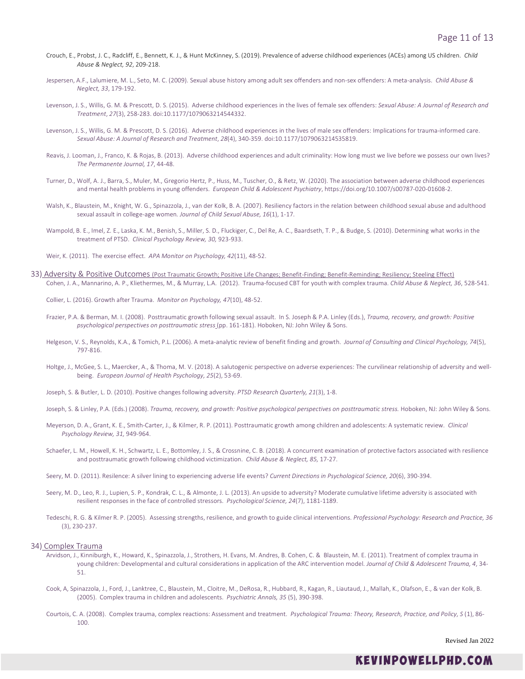- Crouch, E., Probst, J. C., Radcliff, E., Bennett, K. J., & Hunt McKinney, S. (2019). Prevalence of adverse childhood experiences (ACEs) among US children. *Child Abuse & Neglect, 92*, 209-218.
- Jespersen, A.F., Lalumiere, M. L., Seto, M. C. (2009). Sexual abuse history among adult sex offenders and non-sex offenders: A meta-analysis. *Child Abuse & Neglect, 33*, 179-192.
- Levenson, J. S., Willis, G. M. & Prescott, D. S. (2015). Adverse childhood experiences in the lives of female sex offenders: *Sexual Abuse: A Journal of Research and Treatment*, *27*(3), 258-283. doi:10.1177/1079063214544332.
- Levenson, J. S., Willis, G. M. & Prescott, D. S. (2016). Adverse childhood experiences in the lives of male sex offenders: Implications for trauma-informed care. *Sexual Abuse: A Journal of Research and Treatment*, *28*(4), 340-359. doi:10.1177/1079063214535819.
- Reavis, J. Looman, J., Franco, K. & Rojas, B. (2013). Adverse childhood experiences and adult criminality: How long must we live before we possess our own lives? *The Permanente Journal, 17*, 44-48.
- Turner, D., Wolf, A. J., Barra, S., Muler, M., Gregorio Hertz, P., Huss, M., Tuscher, O., & Retz, W. (2020). The association between adverse childhood experiences and mental health problems in young offenders. *European Child & Adolescent Psychiatry*, https://doi.org/10.1007/s00787-020-01608-2.
- Walsh, K., Blaustein, M., Knight, W. G., Spinazzola, J., van der Kolk, B. A. (2007). Resiliency factors in the relation between childhood sexual abuse and adulthood sexual assault in college-age women*. Journal of Child Sexual Abuse, 16*(1), 1-17.
- Wampold, B. E., Imel, Z. E., Laska, K. M., Benish, S., Miller, S. D., Fluckiger, C., Del Re, A. C., Baardseth, T. P., & Budge, S. (2010). Determining what works in the treatment of PTSD. *Clinical Psychology Review, 30,* 923-933.
- Weir, K. (2011). The exercise effect. *APA Monitor on Psychology, 42*(11), 48-52.
- 33) Adversity & Positive Outcomes (Post Traumatic Growth; Positive Life Changes; Benefit-Finding; Benefit-Reminding; Resiliency; Steeling Effect) Cohen, J. A., Mannarino, A. P., Kliethermes, M., & Murray, L.A. (2012). Trauma-focused CBT for youth with complex trauma. *Child Abuse & Neglect, 36*, 528-541.
	- Collier, L. (2016). Growth after Trauma. *Monitor on Psychology, 47*(10), 48-52.
	- Frazier, P.A. & Berman, M. I. (2008). Posttraumatic growth following sexual assault. In S. Joseph & P.A. Linley (Eds.), *Trauma, recovery, and growth: Positive psychological perspectives on posttraumatic stress* (pp. 161-181). Hoboken, NJ: John Wiley & Sons.
	- Helgeson, V. S., Reynolds, K.A., & Tomich, P.L. (2006). A meta-analytic review of benefit finding and growth. *Journal of Consulting and Clinical Psychology, 74*(5), 797-816.
	- Holtge, J., McGee, S. L., Maercker, A., & Thoma, M. V. (2018). A salutogenic perspective on adverse experiences: The curvilinear relationship of adversity and wellbeing. *European Journal of Health Psychology, 25*(2), 53-69.
	- Joseph, S. & Butler, L. D. (2010). Positive changes following adversity. *PTSD Research Quarterly, 21*(3), 1-8.
	- Joseph, S. & Linley, P.A. (Eds.) (2008). *Trauma, recovery, and growth: Positive psychological perspectives on posttraumatic stress*. Hoboken, NJ: John Wiley & Sons.
	- Meyerson, D. A., Grant, K. E., Smith-Carter, J., & Kilmer, R. P. (2011). Posttraumatic growth among children and adolescents: A systematic review. *Clinical Psychology Review, 31,* 949-964.
	- Schaefer, L. M., Howell, K. H., Schwartz, L. E., Bottomley, J. S., & Crossnine, C. B. (2018). A concurrent examination of protective factors associated with resilience and posttraumatic growth following childhood victimization. *Child Abuse & Neglect, 85,* 17-27.
	- Seery, M. D. (2011). Resilence: A silver lining to experiencing adverse life events? *Current Directions in Psychological Science, 20*(6), 390-394.
	- Seery, M. D., Leo, R. J., Lupien, S. P., Kondrak, C. L., & Almonte, J. L. (2013). An upside to adversity? Moderate cumulative lifetime adversity is associated with resilient responses in the face of controlled stressors. *Psychological Science, 24*(7), 1181-1189.
	- Tedeschi, R. G. & Kilmer R. P. (2005). Assessing strengths, resilience, and growth to guide clinical interventions. *Professional Psychology: Research and Practice, 36* (3), 230-237.

# 34) Complex Trauma

- Arvidson, J., Kinniburgh, K., Howard, K., Spinazzola, J., Strothers, H. Evans, M. Andres, B. Cohen, C. & Blaustein, M. E. (2011). Treatment of complex trauma in young children: Developmental and cultural considerations in application of the ARC intervention model. *Journal of Child & Adolescent Trauma, 4*, 34- 51.
- Cook, A, Spinazzola, J., Ford, J., Lanktree, C., Blaustein, M., Cloitre, M., DeRosa, R., Hubbard, R., Kagan, R., Liautaud, J., Mallah, K., Olafson, E., & van der Kolk, B. (2005). Complex trauma in children and adolescents. *Psychiatric Annals, 35* (5), 390-398.
- Courtois, C. A. (2008). Complex trauma, complex reactions: Assessment and treatment. *Psychological Trauma: Theory, Research, Practice, and Policy, S* (1), 86- 100.

Revised Jan 2022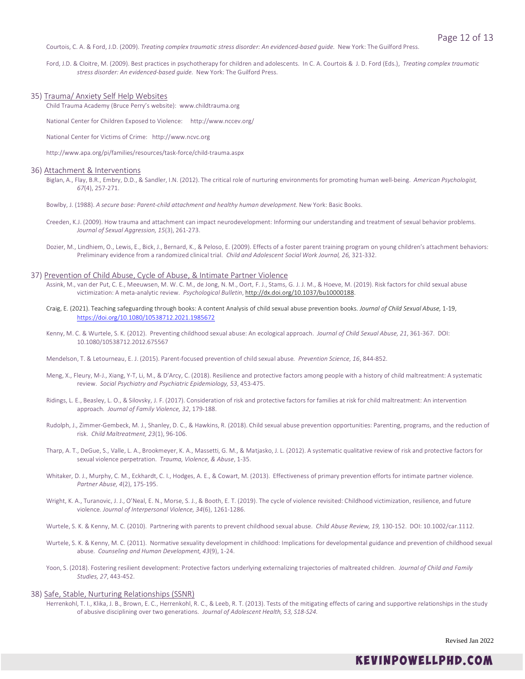Courtois, C. A. & Ford, J.D. (2009). *Treating complex traumatic stress disorder: An evidenced-based guide.* New York: The Guilford Press.

Ford, J.D. & Cloitre, M. (2009). Best practices in psychotherapy for children and adolescents. In C. A. Courtois & J. D. Ford (Eds.), *Treating complex traumatic stress disorder: An evidenced-based guide.* New York: The Guilford Press.

#### 35) Trauma/ Anxiety Self Help Websites

Child Trauma Academy (Bruce Perry's website): www.childtrauma.org

National Center for Children Exposed to Violence: http://www.nccev.org/

National Center for Victims of Crime: http://www.ncvc.org

http://www.apa.org/pi/families/resources/task-force/child-trauma.aspx

# 36) Attachment & Interventions

Biglan, A., Flay, B.R., Embry, D.D., & Sandler, I.N. (2012). The critical role of nurturing environments for promoting human well-being. *American Psychologist, 67*(4), 257-271.

Bowlby, J. (1988). *A secure base: Parent-child attachment and healthy human development.* New York: Basic Books.

- Creeden, K.J. (2009). How trauma and attachment can impact neurodevelopment: Informing our understanding and treatment of sexual behavior problems. *Journal of Sexual Aggression, 15*(3), 261-273.
- Dozier, M., Lindhiem, O., Lewis, E., Bick, J., Bernard, K., & Peloso, E. (2009). Effects of a foster parent training program on young children's attachment behaviors: Preliminary evidence from a randomized clinical trial. *Child and Adolescent Social Work Journal, 26,* 321-332.

#### 37) Prevention of Child Abuse, Cycle of Abuse, & Intimate Partner Violence

- Assink, M., van der Put, C. E., Meeuwsen, M. W. C. M., de Jong, N. M., Oort, F. J., Stams, G. J. J. M., & Hoeve, M. (2019). Risk factors for child sexual abuse victimization: A meta-analytic review. *Psychological Bulletin*, [http://dx.doi.org/10.1037/bu10000188.](http://dx.doi.org/10.1037/bu10000188)
- Craig, E. (2021). Teaching safeguarding through books: A content Analysis of child sexual abuse prevention books. *Journal of Child Sexual Abuse,* 1-19, <https://doi.org/10.1080/10538712.2021.1985672>
- Kenny, M. C. & Wurtele, S. K. (2012). Preventing childhood sexual abuse: An ecological approach. *Journal of Child Sexual Abuse, 21*, 361-367. DOI: 10.1080/10538712.2012.675567
- Mendelson, T. & Letourneau, E. J. (2015). Parent-focused prevention of child sexual abuse*. Prevention Science, 16*, 844-852.
- Meng, X., Fleury, M-J., Xiang, Y-T, Li, M., & D'Arcy, C. (2018). Resilience and protective factors among people with a history of child maltreatment: A systematic review. *Social Psychiatry and Psychiatric Epidemiology, 53*, 453-475.
- Ridings, L. E., Beasley, L. O., & Silovsky, J. F. (2017). Consideration of risk and protective factors for families at risk for child maltreatment: An intervention approach*. Journal of Family Violence, 32*, 179-188.
- Rudolph, J., Zimmer-Gembeck, M. J., Shanley, D. C., & Hawkins, R. (2018). Child sexual abuse prevention opportunities: Parenting, programs, and the reduction of risk. *Child Maltreatment, 23*(1), 96-106.
- Tharp, A. T., DeGue, S., Valle, L. A., Brookmeyer, K. A., Massetti, G. M., & Matjasko, J. L. (2012). A systematic qualitative review of risk and protective factors for sexual violence perpetration. *Trauma, Violence, & Abuse*, 1-35.
- Whitaker, D. J., Murphy, C. M., Eckhardt, C. I., Hodges, A. E., & Cowart, M. (2013). Effectiveness of primary prevention efforts for intimate partner violence. *Partner Abuse, 4*(2), 175-195.
- Wright, K. A., Turanovic, J. J., O'Neal, E. N., Morse, S. J., & Booth, E. T. (2019). The cycle of violence revisited: Childhood victimization, resilience, and future violence. *Journal of Interpersonal Violence, 34*(6), 1261-1286.
- Wurtele, S. K. & Kenny, M. C. (2010). Partnering with parents to prevent childhood sexual abuse. *Child Abuse Review, 19,* 130-152. DOI: 10.1002/car.1112.
- Wurtele, S. K. & Kenny, M. C. (2011). Normative sexuality development in childhood: Implications for developmental guidance and prevention of childhood sexual abuse. *Counseling and Human Development, 43*(9), 1-24.
- Yoon, S. (2018). Fostering resilient development: Protective factors underlying externalizing trajectories of maltreated children. *Journal of Child and Family Studies, 27*, 443-452.

#### 38) Safe, Stable, Nurturing Relationships (SSNR)

Herrenkohl, T. I., Klika, J. B., Brown, E. C., Herrenkohl, R. C., & Leeb, R. T. (2013). Tests of the mitigating effects of caring and supportive relationships in the study of abusive disciplining over two generations. *Journal of Adolescent Health, 53, S18-S24.*

Revised Jan 2022